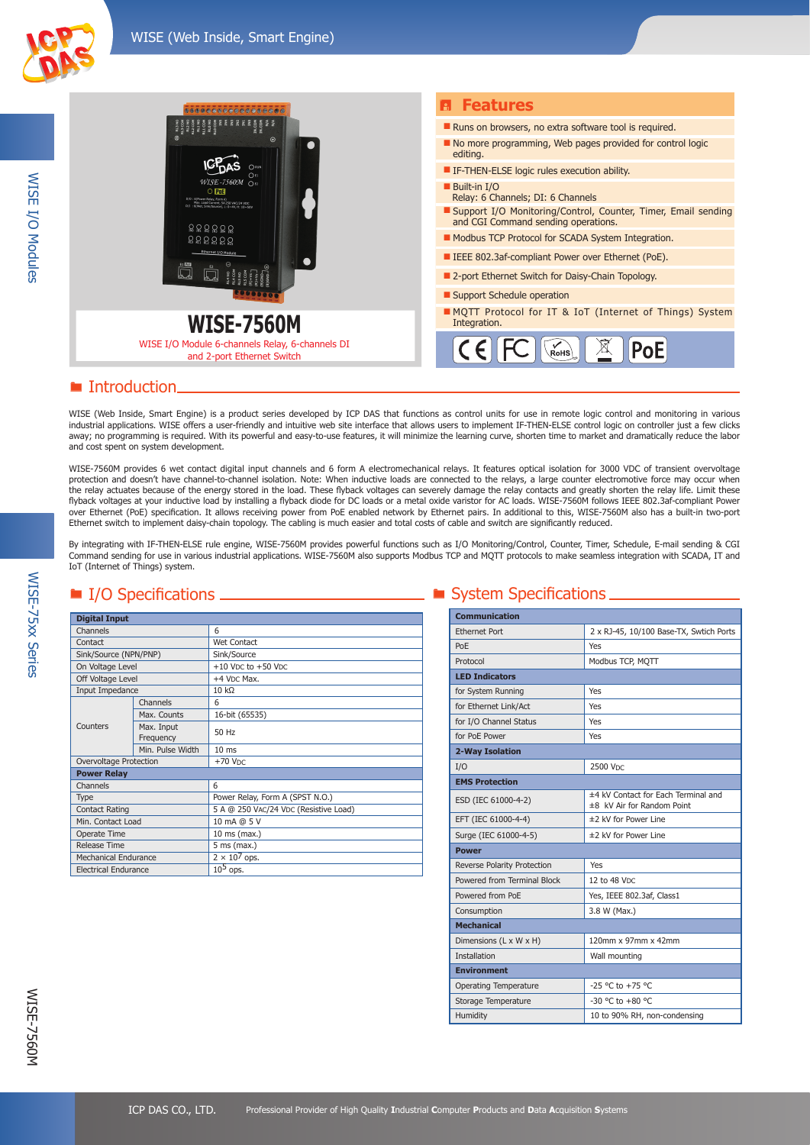WISE I/O Modules

**WISE I/O Modules** 



### **E** Introduction.

WISE (Web Inside, Smart Engine) is a product series developed by ICP DAS that functions as control units for use in remote logic control and monitoring in various industrial applications. WISE offers a user-friendly and intuitive web site interface that allows users to implement IF-THEN-ELSE control logic on controller just a few clicks away; no programming is required. With its powerful and easy-to-use features, it will minimize the learning curve, shorten time to market and dramatically reduce the labor and cost spent on system development.

WISE-7560M provides 6 wet contact digital input channels and 6 form A electromechanical relays. It features optical isolation for 3000 VDC of transient overvoltage protection and doesn't have channel-to-channel isolation. Note: When inductive loads are connected to the relays, a large counter electromotive force may occur when the relay actuates because of the energy stored in the load. These flyback voltages can severely damage the relay contacts and greatly shorten the relay life. Limit these flyback voltages at your inductive load by installing a flyback diode for DC loads or a metal oxide varistor for AC loads. WISE-7560M follows IEEE 802.3af-compliant Power over Ethernet (PoE) specification. It allows receiving power from PoE enabled network by Ethernet pairs. In additional to this, WISE-7560M also has a built-in two-port Ethernet switch to implement daisy-chain topology. The cabling is much easier and total costs of cable and switch are significantly reduced.

By integrating with IF-THEN-ELSE rule engine, WISE-7560M provides powerful functions such as I/O Monitoring/Control, Counter, Timer, Schedule, E-mail sending & CGI Command sending for use in various industrial applications. WISE-7560M also supports Modbus TCP and MQTT protocols to make seamless integration with SCADA, IT and IoT (Internet of Things) system.

| <b>Digital Input</b>        |                         |                                       |  |  |
|-----------------------------|-------------------------|---------------------------------------|--|--|
| Channels                    |                         | 6                                     |  |  |
| Contact                     |                         | <b>Wet Contact</b>                    |  |  |
| Sink/Source (NPN/PNP)       |                         | Sink/Source                           |  |  |
| On Voltage Level            |                         | $+10$ VDC to $+50$ VDC                |  |  |
| Off Voltage Level           |                         | +4 V <sub>DC</sub> Max.               |  |  |
| Input Impedance             |                         | $10 k\Omega$                          |  |  |
|                             | Channels                | 6                                     |  |  |
|                             | Max. Counts             | 16-bit (65535)                        |  |  |
| Counters                    | Max. Input<br>Frequency | 50 Hz                                 |  |  |
|                             | Min. Pulse Width        | 10 <sub>ms</sub>                      |  |  |
| Overvoltage Protection      |                         | $+70$ V <sub>DC</sub>                 |  |  |
| <b>Power Relay</b>          |                         |                                       |  |  |
| Channels                    |                         | 6                                     |  |  |
| Type                        |                         | Power Relay, Form A (SPST N.O.)       |  |  |
| <b>Contact Rating</b>       |                         | 5 A @ 250 VAC/24 VDC (Resistive Load) |  |  |
| Min. Contact Load           |                         | 10 mA @ 5 V                           |  |  |
| Operate Time                |                         | 10 ms (max.)                          |  |  |
| Release Time                |                         | 5 ms (max.)                           |  |  |
| <b>Mechanical Endurance</b> |                         | $2 \times 10^7$ ops.                  |  |  |
| <b>Electrical Endurance</b> |                         | $105$ ops.                            |  |  |

### ■ I/O Specifications ■ System Specifications ■ System Specifications ■

| <b>Communication</b>         |                                                                   |  |  |
|------------------------------|-------------------------------------------------------------------|--|--|
| <b>Fthernet Port</b>         | 2 x RJ-45, 10/100 Base-TX, Swtich Ports                           |  |  |
| PoE                          | Yes                                                               |  |  |
| Protocol                     | Modbus TCP, MOTT                                                  |  |  |
| <b>LED Indicators</b>        |                                                                   |  |  |
| for System Running           | Yes                                                               |  |  |
| for Ethernet Link/Act        | Yes                                                               |  |  |
| for I/O Channel Status       | Yes                                                               |  |  |
| for PoE Power                | Yes                                                               |  |  |
| 2-Way Isolation              |                                                                   |  |  |
| I/O                          | 2500 Vpc                                                          |  |  |
| <b>EMS Protection</b>        |                                                                   |  |  |
| ESD (IEC 61000-4-2)          | ±4 kV Contact for Each Terminal and<br>±8 kV Air for Random Point |  |  |
| EFT (IEC 61000-4-4)          | ±2 kV for Power Line                                              |  |  |
| Surge (IEC 61000-4-5)        | ±2 kV for Power Line                                              |  |  |
| <b>Power</b>                 |                                                                   |  |  |
| Reverse Polarity Protection  | Yes                                                               |  |  |
| Powered from Terminal Block  | 12 to 48 VDC                                                      |  |  |
| Powered from PoF             | Yes, IEEE 802.3af, Class1                                         |  |  |
| Consumption                  | 3.8 W (Max.)                                                      |  |  |
| <b>Mechanical</b>            |                                                                   |  |  |
| Dimensions (L x W x H)       | 120mm x 97mm x 42mm                                               |  |  |
| <b>Installation</b>          | Wall mounting                                                     |  |  |
| <b>Environment</b>           |                                                                   |  |  |
| <b>Operating Temperature</b> | $-25$ °C to $+75$ °C                                              |  |  |
| Storage Temperature          | $-30$ °C to $+80$ °C                                              |  |  |
| Humidity                     | 10 to 90% RH, non-condensing                                      |  |  |

WISE-75xx Series

**WISE-75xx Series**